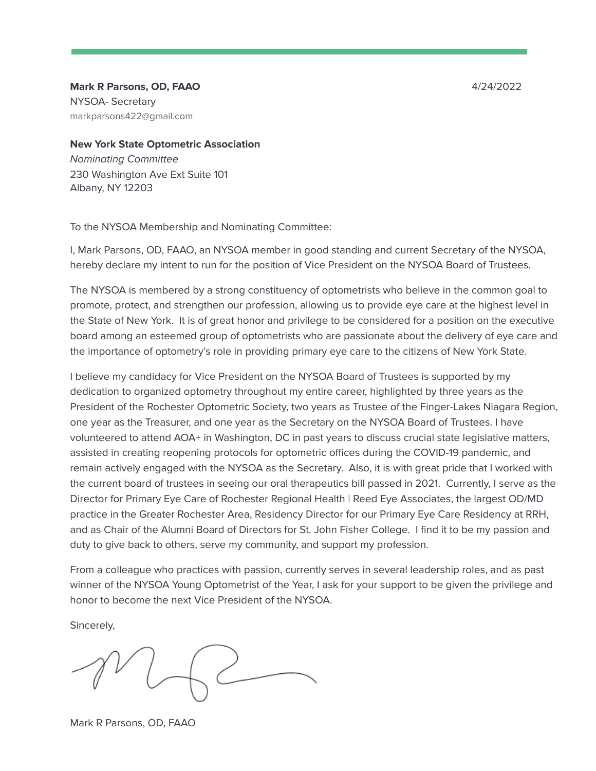**Mark R Parsons, OD, FAAO** 4/24/2022 NYSOA- Secretary markparsons422@gmail.com

**New York State Optometric Association** Nominating Committee 230 Washington Ave Ext Suite 101 Albany, NY 12203

To the NYSOA Membership and Nominating Committee:

I, Mark Parsons, OD, FAAO, an NYSOA member in good standing and current Secretary of the NYSOA, hereby declare my intent to run for the position of Vice President on the NYSOA Board of Trustees.

The NYSOA is membered by a strong constituency of optometrists who believe in the common goal to promote, protect, and strengthen our profession, allowing us to provide eye care at the highest level in the State of New York. It is of great honor and privilege to be considered for a position on the executive board among an esteemed group of optometrists who are passionate about the delivery of eye care and the importance of optometry's role in providing primary eye care to the citizens of New York State.

I believe my candidacy for Vice President on the NYSOA Board of Trustees is supported by my dedication to organized optometry throughout my entire career, highlighted by three years as the President of the Rochester Optometric Society, two years as Trustee of the Finger-Lakes Niagara Region, one year as the Treasurer, and one year as the Secretary on the NYSOA Board of Trustees. I have volunteered to attend AOA+ in Washington, DC in past years to discuss crucial state legislative matters, assisted in creating reopening protocols for optometric offices during the COVID-19 pandemic, and remain actively engaged with the NYSOA as the Secretary. Also, it is with great pride that I worked with the current board of trustees in seeing our oral therapeutics bill passed in 2021. Currently, I serve as the Director for Primary Eye Care of Rochester Regional Health | Reed Eye Associates, the largest OD/MD practice in the Greater Rochester Area, Residency Director for our Primary Eye Care Residency at RRH, and as Chair of the Alumni Board of Directors for St. John Fisher College. I find it to be my passion and duty to give back to others, serve my community, and support my profession.

From a colleague who practices with passion, currently serves in several leadership roles, and as past winner of the NYSOA Young Optometrist of the Year, I ask for your support to be given the privilege and honor to become the next Vice President of the NYSOA.

Sincerely,

Mark R Parsons, OD, FAAO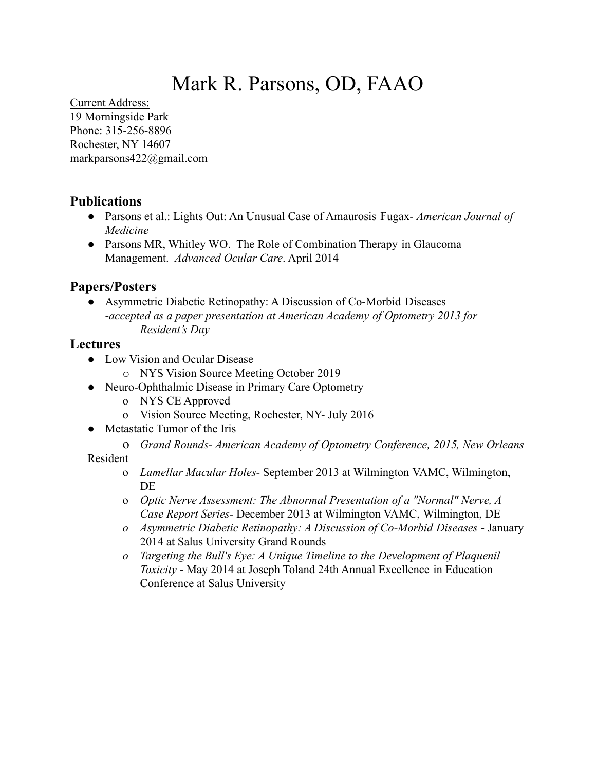# Mark R. Parsons, OD, FAAO

Current Address: 19 Morningside Park Phone: 315-256-8896 Rochester, NY 14607 markparsons422@gmail.com

# **Publications**

- Parsons et al.: Lights Out: An Unusual Case of Amaurosis Fugax- *American Journal of Medicine*
- Parsons MR, Whitley WO. The Role of Combination Therapy in Glaucoma Management. *Advanced Ocular Care*. April 2014

## **Papers/Posters**

● Asymmetric Diabetic Retinopathy: A Discussion of Co-Morbid Diseases -*accepted as a paper presentation at American Academy of Optometry 2013 for Resident's Day*

# **Lectures**

- Low Vision and Ocular Disease
	- o NYS Vision Source Meeting October 2019
- Neuro-Ophthalmic Disease in Primary Care Optometry
	- o NYS CE Approved
	- o Vision Source Meeting, Rochester, NY- July 2016
- Metastatic Tumor of the Iris
	- o *Grand Rounds- American Academy of Optometry Conference, 2015, New Orleans*

Resident

- o *Lamellar Macular Holes* September 2013 at Wilmington VAMC, Wilmington, **DE**
- o *Optic Nerve Assessment: The Abnormal Presentation of a "Normal" Nerve, A Case Report Series*- December 2013 at Wilmington VAMC, Wilmington, DE
- *o Asymmetric Diabetic Retinopathy: A Discussion of Co-Morbid Diseases* January 2014 at Salus University Grand Rounds
- *o Targeting the Bull's Eye: A Unique Timeline to the Development of Plaquenil Toxicity* - May 2014 at Joseph Toland 24th Annual Excellence in Education Conference at Salus University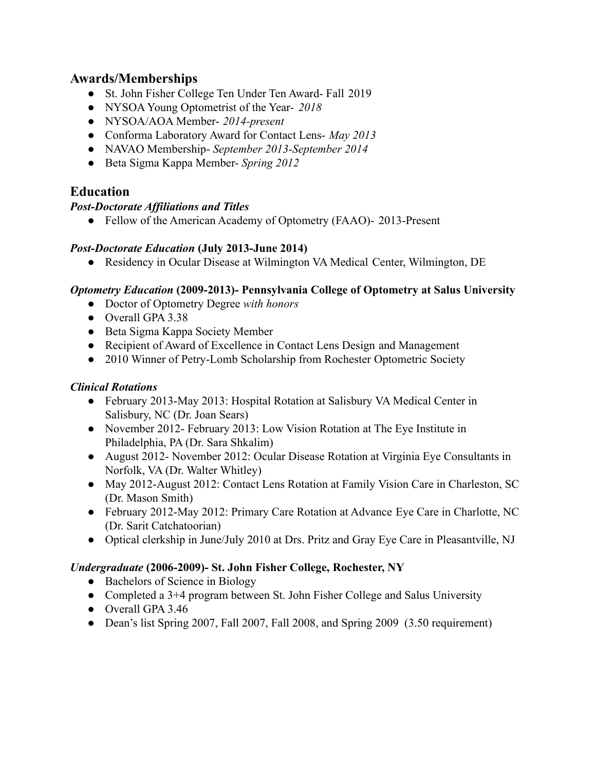## **Awards/Memberships**

- St. John Fisher College Ten Under Ten Award- Fall 2019
- NYSOA Young Optometrist of the Year- *2018*
- NYSOA/AOA Member- *2014-present*
- **●** Conforma Laboratory Award for Contact Lens- *May 2013*
- **●** NAVAO Membership- *September 2013-September 2014*
- **●** Beta Sigma Kappa Member- *Spring 2012*

## **Education**

#### *Post-Doctorate Affiliations and Titles*

• Fellow of the American Academy of Optometry (FAAO)- 2013-Present

#### *Post-Doctorate Education* **(July 2013-June 2014)**

**●** Residency in Ocular Disease at Wilmington VA Medical Center, Wilmington, DE

#### *Optometry Education* **(2009-2013)- Pennsylvania College of Optometry at Salus University**

- **●** Doctor of Optometry Degree *with honors*
- **●** Overall GPA 3.38
- **●** Beta Sigma Kappa Society Member
- **●** Recipient of Award of Excellence in Contact Lens Design and Management
- **●** 2010 Winner of Petry-Lomb Scholarship from Rochester Optometric Society

#### *Clinical Rotations*

- **●** February 2013-May 2013: Hospital Rotation at Salisbury VA Medical Center in Salisbury, NC (Dr. Joan Sears)
- **●** November 2012- February 2013: Low Vision Rotation at The Eye Institute in Philadelphia, PA (Dr. Sara Shkalim)
- **●** August 2012- November 2012: Ocular Disease Rotation at Virginia Eye Consultants in Norfolk, VA (Dr. Walter Whitley)
- **●** May 2012-August 2012: Contact Lens Rotation at Family Vision Care in Charleston, SC (Dr. Mason Smith)
- **●** February 2012-May 2012: Primary Care Rotation at Advance Eye Care in Charlotte, NC (Dr. Sarit Catchatoorian)
- **●** Optical clerkship in June/July 2010 at Drs. Pritz and Gray Eye Care in Pleasantville, NJ

#### *Undergraduate* **(2006-2009)- St. John Fisher College, Rochester, NY**

- Bachelors of Science in Biology
- Completed a 3+4 program between St. John Fisher College and Salus University
- Overall GPA 3.46
- Dean's list Spring 2007, Fall 2007, Fall 2008, and Spring 2009 (3.50 requirement)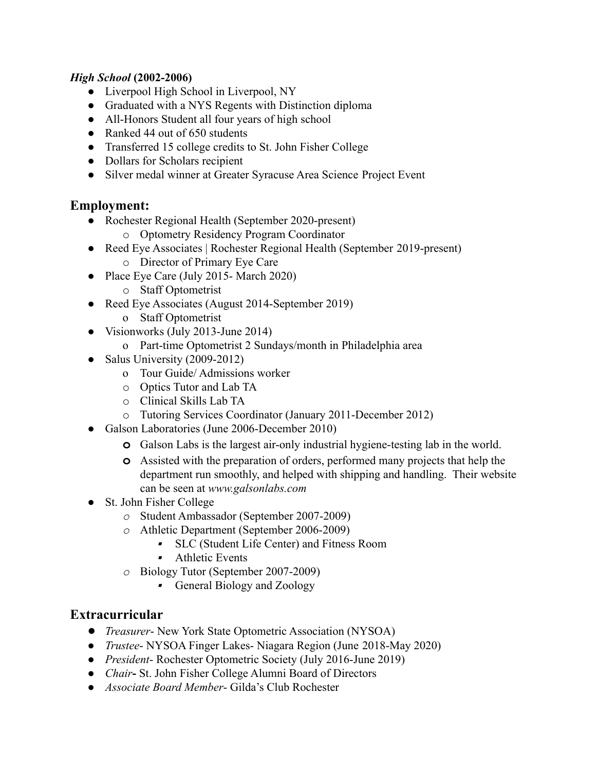### *High School* **(2002-2006)**

- Liverpool High School in Liverpool, NY
- Graduated with a NYS Regents with Distinction diploma
- All-Honors Student all four years of high school
- Ranked 44 out of 650 students
- Transferred 15 college credits to St. John Fisher College
- Dollars for Scholars recipient
- Silver medal winner at Greater Syracuse Area Science Project Event

## **Employment:**

- Rochester Regional Health (September 2020-present)
	- o Optometry Residency Program Coordinator
- Reed Eye Associates | Rochester Regional Health (September 2019-present)
	- o Director of Primary Eye Care
- Place Eye Care (July 2015- March 2020)
	- o Staff Optometrist
- Reed Eye Associates (August 2014-September 2019)
	- o Staff Optometrist
- Visionworks (July 2013-June 2014)
	- o Part-time Optometrist 2 Sundays/month in Philadelphia area
- Salus University  $(2009-2012)$ 
	- o Tour Guide/ Admissions worker
	- o Optics Tutor and Lab TA
	- o Clinical Skills Lab TA
	- o Tutoring Services Coordinator (January 2011-December 2012)
- Galson Laboratories (June 2006-December 2010)
	- **o** Galson Labs is the largest air-only industrial hygiene-testing lab in the world.
	- **o** Assisted with the preparation of orders, performed many projects that help the department run smoothly, and helped with shipping and handling. Their website can be seen at *www.galsonlabs.com*
- *●* St. John Fisher College
	- *o* Student Ambassador (September 2007-2009)
	- *o* Athletic Department (September 2006-2009)
		- SLC (Student Life Center) and Fitness Room
		- **Athletic Events**
	- *o* Biology Tutor (September 2007-2009)
		- **•** General Biology and Zoology

## **Extracurricular**

- *● Treasurer* New York State Optometric Association (NYSOA)
- *● Trustee* NYSOA Finger Lakes- Niagara Region (June 2018-May 2020)
- **●** *President* Rochester Optometric Society (July 2016-June 2019)
- **●** *Chair***-** St. John Fisher College Alumni Board of Directors
- **●** *Associate Board Member* Gilda's Club Rochester